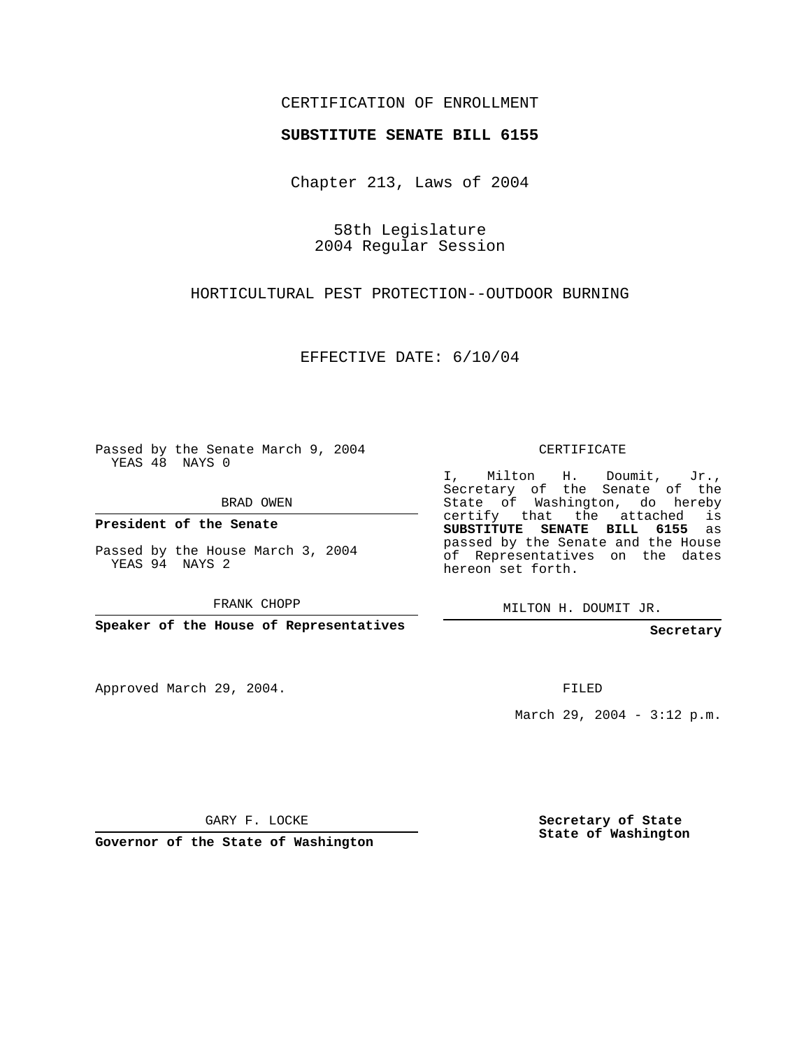## CERTIFICATION OF ENROLLMENT

## **SUBSTITUTE SENATE BILL 6155**

Chapter 213, Laws of 2004

58th Legislature 2004 Regular Session

HORTICULTURAL PEST PROTECTION--OUTDOOR BURNING

EFFECTIVE DATE: 6/10/04

Passed by the Senate March 9, 2004 YEAS 48 NAYS 0

BRAD OWEN

**President of the Senate**

Passed by the House March 3, 2004 YEAS 94 NAYS 2

FRANK CHOPP

**Speaker of the House of Representatives**

Approved March 29, 2004.

CERTIFICATE

I, Milton H. Doumit, Jr., Secretary of the Senate of the State of Washington, do hereby certify that the attached is **SUBSTITUTE SENATE BILL 6155** as passed by the Senate and the House of Representatives on the dates hereon set forth.

MILTON H. DOUMIT JR.

**Secretary**

FILED

March 29, 2004 - 3:12 p.m.

GARY F. LOCKE

**Governor of the State of Washington**

**Secretary of State State of Washington**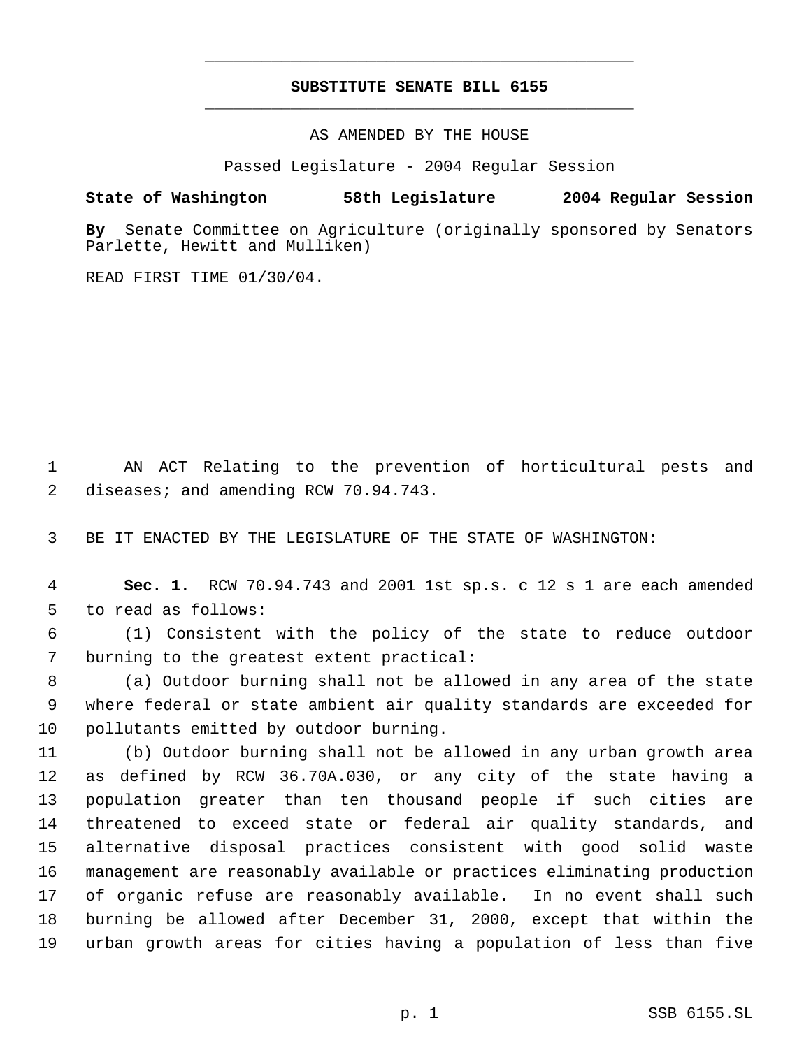## **SUBSTITUTE SENATE BILL 6155** \_\_\_\_\_\_\_\_\_\_\_\_\_\_\_\_\_\_\_\_\_\_\_\_\_\_\_\_\_\_\_\_\_\_\_\_\_\_\_\_\_\_\_\_\_

\_\_\_\_\_\_\_\_\_\_\_\_\_\_\_\_\_\_\_\_\_\_\_\_\_\_\_\_\_\_\_\_\_\_\_\_\_\_\_\_\_\_\_\_\_

AS AMENDED BY THE HOUSE

Passed Legislature - 2004 Regular Session

## **State of Washington 58th Legislature 2004 Regular Session**

**By** Senate Committee on Agriculture (originally sponsored by Senators Parlette, Hewitt and Mulliken)

READ FIRST TIME 01/30/04.

 AN ACT Relating to the prevention of horticultural pests and 2 diseases; and amending RCW 70.94.743.

BE IT ENACTED BY THE LEGISLATURE OF THE STATE OF WASHINGTON:

 **Sec. 1.** RCW 70.94.743 and 2001 1st sp.s. c 12 s 1 are each amended to read as follows:

 (1) Consistent with the policy of the state to reduce outdoor burning to the greatest extent practical:

 (a) Outdoor burning shall not be allowed in any area of the state where federal or state ambient air quality standards are exceeded for pollutants emitted by outdoor burning.

 (b) Outdoor burning shall not be allowed in any urban growth area as defined by RCW 36.70A.030, or any city of the state having a population greater than ten thousand people if such cities are threatened to exceed state or federal air quality standards, and alternative disposal practices consistent with good solid waste management are reasonably available or practices eliminating production of organic refuse are reasonably available. In no event shall such burning be allowed after December 31, 2000, except that within the urban growth areas for cities having a population of less than five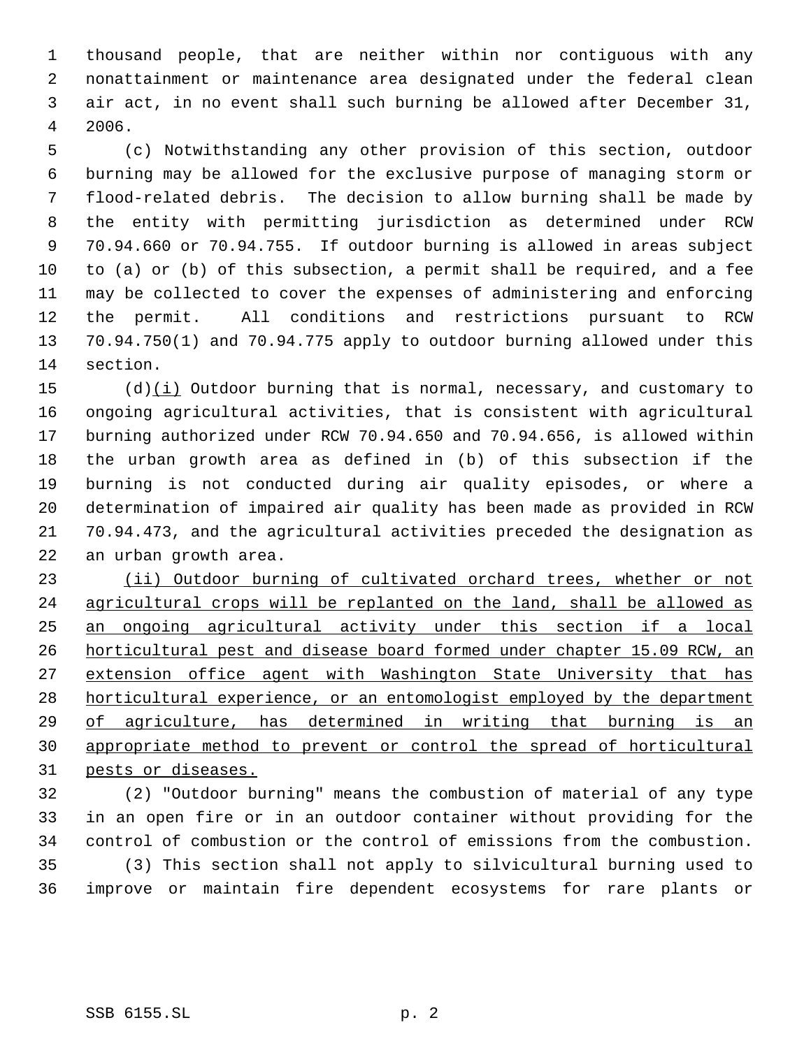thousand people, that are neither within nor contiguous with any nonattainment or maintenance area designated under the federal clean air act, in no event shall such burning be allowed after December 31, 2006.

 (c) Notwithstanding any other provision of this section, outdoor burning may be allowed for the exclusive purpose of managing storm or flood-related debris. The decision to allow burning shall be made by the entity with permitting jurisdiction as determined under RCW 70.94.660 or 70.94.755. If outdoor burning is allowed in areas subject to (a) or (b) of this subsection, a permit shall be required, and a fee may be collected to cover the expenses of administering and enforcing the permit. All conditions and restrictions pursuant to RCW 70.94.750(1) and 70.94.775 apply to outdoor burning allowed under this section.

 (d)(i) Outdoor burning that is normal, necessary, and customary to ongoing agricultural activities, that is consistent with agricultural burning authorized under RCW 70.94.650 and 70.94.656, is allowed within the urban growth area as defined in (b) of this subsection if the burning is not conducted during air quality episodes, or where a determination of impaired air quality has been made as provided in RCW 70.94.473, and the agricultural activities preceded the designation as an urban growth area.

23 (ii) Outdoor burning of cultivated orchard trees, whether or not agricultural crops will be replanted on the land, shall be allowed as an ongoing agricultural activity under this section if a local horticultural pest and disease board formed under chapter 15.09 RCW, an 27 extension office agent with Washington State University that has 28 horticultural experience, or an entomologist employed by the department of agriculture, has determined in writing that burning is an appropriate method to prevent or control the spread of horticultural pests or diseases.

 (2) "Outdoor burning" means the combustion of material of any type in an open fire or in an outdoor container without providing for the control of combustion or the control of emissions from the combustion. (3) This section shall not apply to silvicultural burning used to improve or maintain fire dependent ecosystems for rare plants or